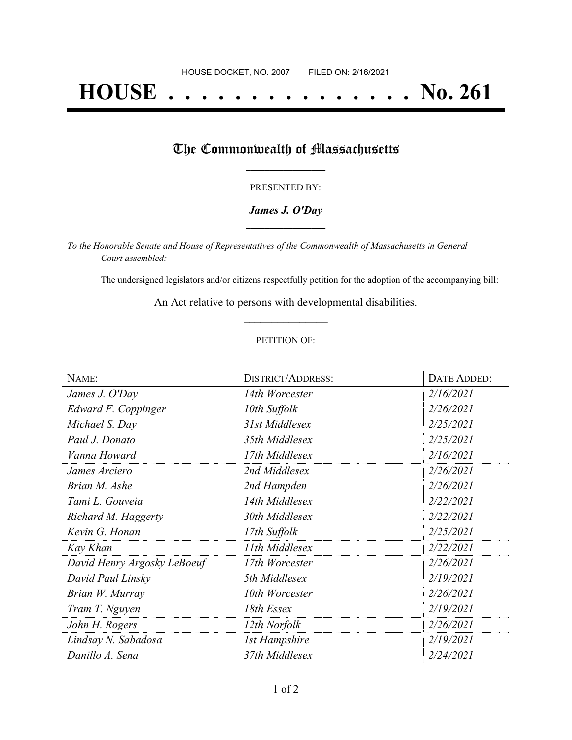# **HOUSE . . . . . . . . . . . . . . . No. 261**

## The Commonwealth of Massachusetts

#### PRESENTED BY:

#### *James J. O'Day* **\_\_\_\_\_\_\_\_\_\_\_\_\_\_\_\_\_**

*To the Honorable Senate and House of Representatives of the Commonwealth of Massachusetts in General Court assembled:*

The undersigned legislators and/or citizens respectfully petition for the adoption of the accompanying bill:

An Act relative to persons with developmental disabilities. **\_\_\_\_\_\_\_\_\_\_\_\_\_\_\_**

#### PETITION OF:

| NAME:                       | <b>DISTRICT/ADDRESS:</b> | <b>DATE ADDED:</b> |
|-----------------------------|--------------------------|--------------------|
| James J. O'Day              | 14th Worcester           | 2/16/2021          |
| Edward F. Coppinger         | 10th Suffolk             | 2/26/2021          |
| Michael S. Day              | 31st Middlesex           | 2/25/2021          |
| Paul J. Donato              | 35th Middlesex           | 2/25/2021          |
| Vanna Howard                | 17th Middlesex           | 2/16/2021          |
| James Arciero               | 2nd Middlesex            | 2/26/2021          |
| Brian M. Ashe               | 2nd Hampden              | 2/26/2021          |
| Tami L. Gouveia             | 14th Middlesex           | 2/22/2021          |
| Richard M. Haggerty         | 30th Middlesex           | 2/22/2021          |
| Kevin G. Honan              | 17th Suffolk             | 2/25/2021          |
| Kay Khan                    | 11th Middlesex           | 2/22/2021          |
| David Henry Argosky LeBoeuf | 17th Worcester           | 2/26/2021          |
| David Paul Linsky           | 5th Middlesex            | 2/19/2021          |
| Brian W. Murray             | 10th Worcester           | 2/26/2021          |
| Tram T. Nguyen              | 18th Essex               | 2/19/2021          |
| John H. Rogers              | 12th Norfolk             | 2/26/2021          |
| Lindsay N. Sabadosa         | <b>1st Hampshire</b>     | 2/19/2021          |
| Danillo A. Sena             | 37th Middlesex           | 2/24/2021          |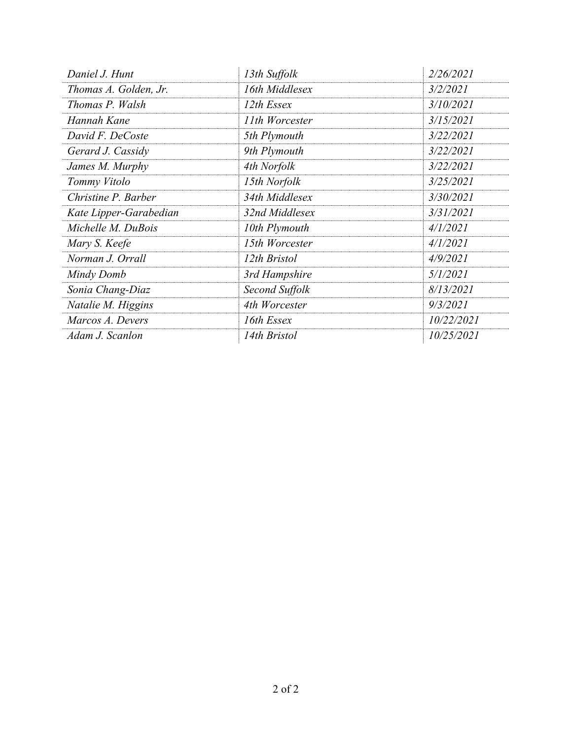| Daniel J. Hunt         | 13th Suffolk   | 2/26/2021  |
|------------------------|----------------|------------|
| Thomas A. Golden, Jr.  | 16th Middlesex | 3/2/2021   |
| Thomas P. Walsh        | 12th Essex     | 3/10/2021  |
| Hannah Kane            | 11th Worcester | 3/15/2021  |
| David F. DeCoste       | 5th Plymouth   | 3/22/2021  |
| Gerard J. Cassidy      | 9th Plymouth   | 3/22/2021  |
| James M. Murphy        | 4th Norfolk    | 3/22/2021  |
| Tommy Vitolo           | 15th Norfolk   | 3/25/2021  |
| Christine P. Barber    | 34th Middlesex | 3/30/2021  |
| Kate Lipper-Garabedian | 32nd Middlesex | 3/31/2021  |
| Michelle M. DuBois     | 10th Plymouth  | 4/1/2021   |
| Mary S. Keefe          | 15th Worcester | 4/1/2021   |
| Norman J. Orrall       | 12th Bristol   | 4/9/2021   |
| Mindy Domb             | 3rd Hampshire  | 5/1/2021   |
| Sonia Chang-Diaz       | Second Suffolk | 8/13/2021  |
| Natalie M. Higgins     | 4th Worcester  | 9/3/2021   |
| Marcos A. Devers       | 16th Essex     | 10/22/2021 |
| Adam J. Scanlon        | 14th Bristol   | 10/25/2021 |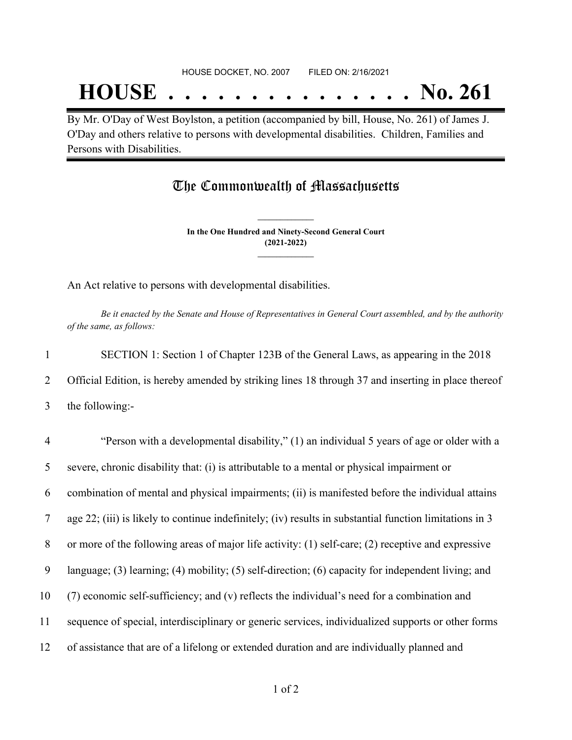## **HOUSE . . . . . . . . . . . . . . . No. 261**

By Mr. O'Day of West Boylston, a petition (accompanied by bill, House, No. 261) of James J. O'Day and others relative to persons with developmental disabilities. Children, Families and Persons with Disabilities.

### The Commonwealth of Massachusetts

**In the One Hundred and Ninety-Second General Court (2021-2022) \_\_\_\_\_\_\_\_\_\_\_\_\_\_\_**

**\_\_\_\_\_\_\_\_\_\_\_\_\_\_\_**

An Act relative to persons with developmental disabilities.

Be it enacted by the Senate and House of Representatives in General Court assembled, and by the authority *of the same, as follows:*

1 SECTION 1: Section 1 of Chapter 123B of the General Laws, as appearing in the 2018 2 Official Edition, is hereby amended by striking lines 18 through 37 and inserting in place thereof 3 the following:-

 "Person with a developmental disability," (1) an individual 5 years of age or older with a severe, chronic disability that: (i) is attributable to a mental or physical impairment or combination of mental and physical impairments; (ii) is manifested before the individual attains age 22; (iii) is likely to continue indefinitely; (iv) results in substantial function limitations in 3 or more of the following areas of major life activity: (1) self-care; (2) receptive and expressive language; (3) learning; (4) mobility; (5) self-direction; (6) capacity for independent living; and (7) economic self-sufficiency; and (v) reflects the individual's need for a combination and sequence of special, interdisciplinary or generic services, individualized supports or other forms of assistance that are of a lifelong or extended duration and are individually planned and